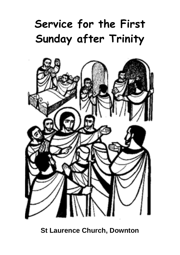# **Service for the First Sunday after Trinity**



**St Laurence Church, Downton**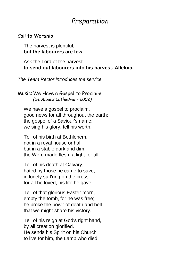### *Preparation*

#### Call to Worship

The harvest is plentiful, **but the labourers are few.**

Ask the Lord of the harvest **to send out labourers into his harvest. Alleluia.**

*The Team Rector introduces the service*

Music:We Have a Gospel to Proclaim *(St Albans Cathedral - 2002)*

We have a gospel to proclaim, good news for all throughout the earth; the gospel of a Saviour's name: we sing his glory, tell his worth.

Tell of his birth at Bethlehem, not in a royal house or hall, but in a stable dark and dim, the Word made flesh, a light for all.

Tell of his death at Calvary, hated by those he came to save; in lonely suff'ring on the cross: for all he loved, his life he gave.

Tell of that glorious Easter morn, empty the tomb, for he was free; he broke the pow'r of death and hell that we might share his victory.

Tell of his reign at God's right hand, by all creation glorified. He sends his Spirit on his Church to live for him, the Lamb who died.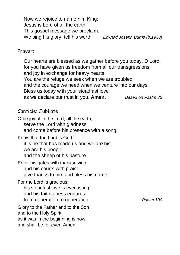Now we rejoice to name him King: Jesus is Lord of all the earth. This gospel message we proclaim: We sing his glory, tell his worth. *Edward Joseph Burns (b.1938)*

#### Prayer:

Our hearts are blessed as we gather before you today, O Lord, for you have given us freedom from all our transgressions and joy in exchange for heavy hearts. You are the refuge we seek when we are troubled and the courage we need when we venture into our days. Bless us today with your steadfast love as we declare our trust in you. **Amen.** *Based on Psalm 32*

#### Canticle: Jubilate

O be joyful in the Lord, all the earth; serve the Lord with gladness and come before his presence with a song. Know that the Lord is God; it is he that has made us and we are his; we are his people and the sheep of his pasture. Enter his gates with thanksgiving and his courts with praise; give thanks to him and bless his name. For the Lord is gracious; his steadfast love is everlasting, and his faithfulness endures from generation to generation. *Psalm 100* Glory to the Father and to the Son and to the Holy Spirit; as it was in the beginning is now and shall be for ever. Amen.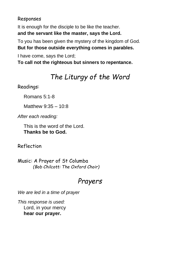#### Responses

It is enough for the disciple to be like the teacher. **and the servant like the master, says the Lord.**

To you has been given the mystery of the kingdom of God. **But for those outside everything comes in parables.**

I have come, says the Lord; **To call not the righteous but sinners to repentance.**

## *The Liturgy of the Word*

Readings:

Romans 5:1-8

Matthew 9:35 – 10:8

*After each reading:*

This is the word of the Lord. **Thanks be to God.**

Reflection

Music: A Prayer of St Columba *(Bob Chilcott: The Oxford Choir)*

## *Prayers*

*We are led in a time of prayer*

*This response is used:* Lord, in your mercy **hear our prayer.**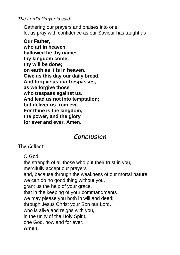*The Lord's Prayer is said:*

Gathering our prayers and praises into one, let us pray with confidence as our Saviour has taught us

**Our Father, who art in heaven, hallowed be thy name; thy kingdom come; thy will be done; on earth as it is in heaven. Give us this day our daily bread. And forgive us our trespasses, as we forgive those who trespass against us. And lead us not into temptation; but deliver us from evil. For thine is the kingdom, the power, and the glory for ever and ever. Amen.**

## *Conclusion*

The Collect

O God,

the strength of all those who put their trust in you, mercifully accept our prayers and, because through the weakness of our mortal nature we can do no good thing without you, grant us the help of your grace, that in the keeping of your commandments we may please you both in will and deed; through Jesus Christ your Son our Lord, who is alive and reigns with you, in the unity of the Holy Spirit, one God, now and for ever. **Amen.**